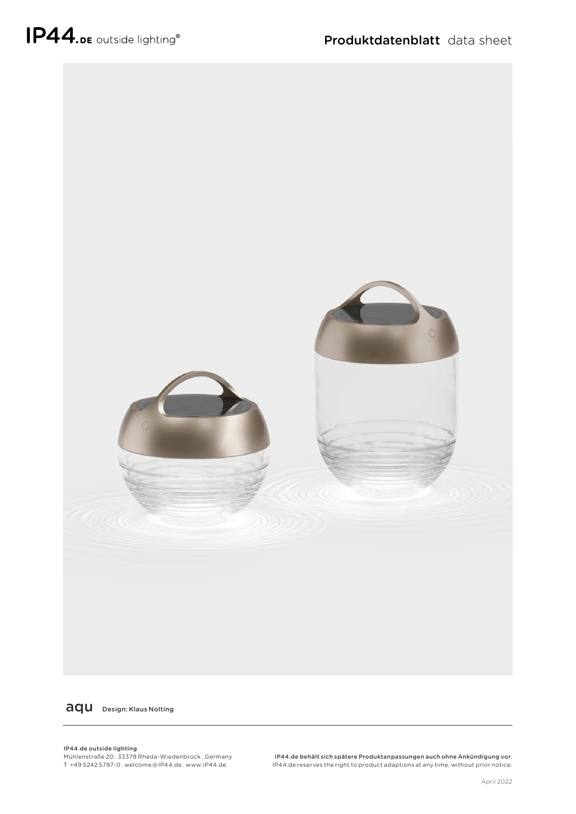

aqu Design: Klaus Nolting

IP44.de outside lighting Mühlenstraße 20 . 33378 Rheda-Wiedenbrück . Germany T +49 5242 5797-0 . welcome @ IP44.de . www.IP44.de

IP44.de behält sich spätere Produktanpassungen auch ohne Ankündigung vor. IP44.de reserves the right to product adaptions at any time, without prior notice.